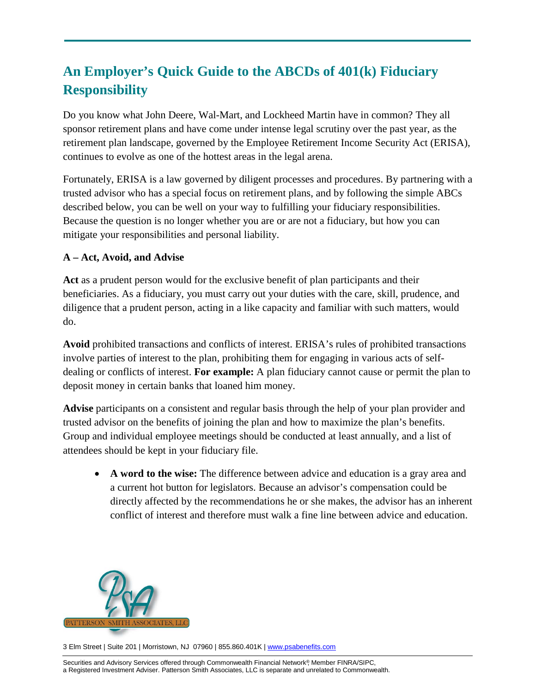# **An Employer's Quick Guide to the ABCDs of 401(k) Fiduciary Responsibility**

Do you know what John Deere, Wal-Mart, and Lockheed Martin have in common? They all sponsor retirement plans and have come under intense legal scrutiny over the past year, as the retirement plan landscape, governed by the Employee Retirement Income Security Act (ERISA), continues to evolve as one of the hottest areas in the legal arena.

Fortunately, ERISA is a law governed by diligent processes and procedures. By partnering with a trusted advisor who has a special focus on retirement plans, and by following the simple ABCs described below, you can be well on your way to fulfilling your fiduciary responsibilities. Because the question is no longer whether you are or are not a fiduciary, but how you can mitigate your responsibilities and personal liability.

## **A – Act, Avoid, and Advise**

**Act** as a prudent person would for the exclusive benefit of plan participants and their beneficiaries. As a fiduciary, you must carry out your duties with the care, skill, prudence, and diligence that a prudent person, acting in a like capacity and familiar with such matters, would do.

**Avoid** prohibited transactions and conflicts of interest. ERISA's rules of prohibited transactions involve parties of interest to the plan, prohibiting them for engaging in various acts of selfdealing or conflicts of interest. **For example:** A plan fiduciary cannot cause or permit the plan to deposit money in certain banks that loaned him money.

**Advise** participants on a consistent and regular basis through the help of your plan provider and trusted advisor on the benefits of joining the plan and how to maximize the plan's benefits. Group and individual employee meetings should be conducted at least annually, and a list of attendees should be kept in your fiduciary file.

• **A word to the wise:** The difference between advice and education is a gray area and a current hot button for legislators. Because an advisor's compensation could be directly affected by the recommendations he or she makes, the advisor has an inherent conflict of interest and therefore must walk a fine line between advice and education.



3 Elm Street | Suite 201 | Morristown, NJ 07960 | 855.860.401K | [www.psabenefits.com](http://www.psabenefits.com/)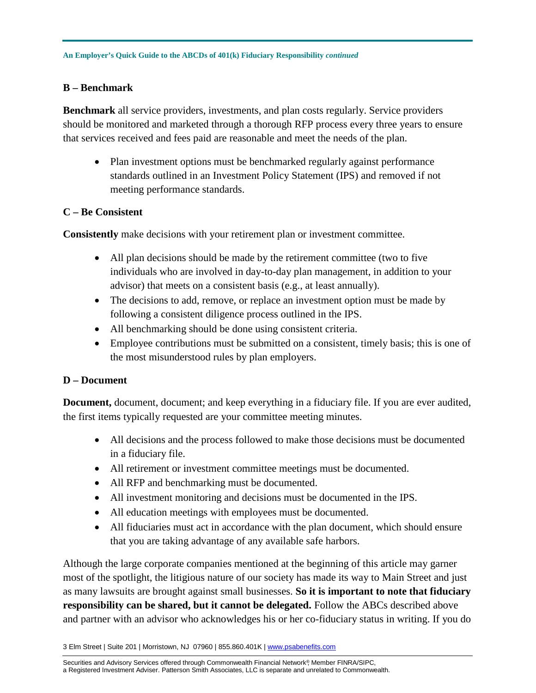### **B – Benchmark**

**Benchmark** all service providers, investments, and plan costs regularly. Service providers should be monitored and marketed through a thorough RFP process every three years to ensure that services received and fees paid are reasonable and meet the needs of the plan.

• Plan investment options must be benchmarked regularly against performance standards outlined in an Investment Policy Statement (IPS) and removed if not meeting performance standards.

### **C – Be Consistent**

**Consistently** make decisions with your retirement plan or investment committee.

- All plan decisions should be made by the retirement committee (two to five individuals who are involved in day-to-day plan management, in addition to your advisor) that meets on a consistent basis (e.g., at least annually).
- The decisions to add, remove, or replace an investment option must be made by following a consistent diligence process outlined in the IPS.
- All benchmarking should be done using consistent criteria.
- Employee contributions must be submitted on a consistent, timely basis; this is one of the most misunderstood rules by plan employers.

### **D – Document**

**Document,** document, document; and keep everything in a fiduciary file. If you are ever audited, the first items typically requested are your committee meeting minutes.

- All decisions and the process followed to make those decisions must be documented in a fiduciary file.
- All retirement or investment committee meetings must be documented.
- All RFP and benchmarking must be documented.
- All investment monitoring and decisions must be documented in the IPS.
- All education meetings with employees must be documented.
- All fiduciaries must act in accordance with the plan document, which should ensure that you are taking advantage of any available safe harbors.

Although the large corporate companies mentioned at the beginning of this article may garner most of the spotlight, the litigious nature of our society has made its way to Main Street and just as many lawsuits are brought against small businesses. **So it is important to note that fiduciary responsibility can be shared, but it cannot be delegated.** Follow the ABCs described above and partner with an advisor who acknowledges his or her co-fiduciary status in writing. If you do

3 Elm Street | Suite 201 | Morristown, NJ 07960 | 855.860.401K | [www.psabenefits.com](http://www.psabenefits.com/)